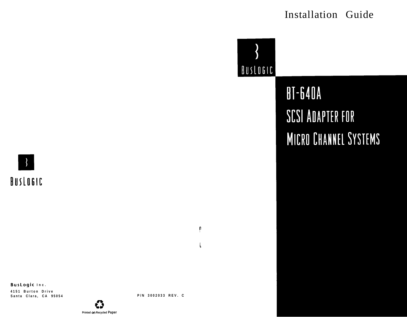# Installation Guide



**BT-640A SCSI ADAPTER FOR** MICRO CHANNEL SYSTEMS

 $BUSLOGIC$ 

**BusLogic Inc. 4151 Burton Drive Santa Clara, CA 95054**



c, **w Printed cm Recycled Paper** P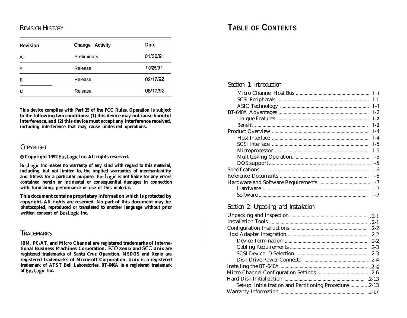| <b>Revision</b> | <b>Change Activity</b> | Date     |
|-----------------|------------------------|----------|
| A <sub>1</sub>  | Preliminary            | 01/30/91 |
| A               | Release                | 10/25/91 |
| B               | Release                | 02/17/92 |
| C               | Release                | 08/17/92 |

**This device complies with Part 15 of the FCC Rules. Operation is subject to the following two conditions: (1) this device may not cause harmful interference, and (2) this device must accept any interference received, including interference that may cause undesired operations.**

#### C OPYRIGHT

0 **Copyright 1992 BusLogic Inc. All rights reserved.**

**BusLogic Inc makes no warranty of any kind with regard to this material, including, but not limited to, the implied warranties of merchantability and fitness for a particular purpose. BusLogic is not liable for any errors contained herein or incidental or consequential damages in connection with furnishing, performance or use of this material.**

**This document contains proprietary information which is protected by copyright. All rights are reserved. No part of this document may be photocopied, reproduced or translated to another language without prior written consent of BusLogic Inc.**

#### T RADEMARKS

**IBM, PC/AT, and Micro Channel are registered trademarks of International Business Machines Corporation. SC0 Xenix and SC0 Unix are registered trademarks of Santa Cruz Operation. MSDOS and Xenix are registered trademarks of Microsoft Corporation. Unix is a registered trademark of AT&T Bell Laboratories. BT-640A is a registered trademark of BusLogic Inc.**

# R EVISION H ISTORY **TABLE OF CONTENTS**

#### Section 1: Introduction

| $1-1$   |
|---------|
| $1 - 1$ |
| $1-2$   |
| $1-2$   |
| $1-2$   |
| $1-4$   |
| $1 - 4$ |
| $1-5$   |
| $1-5$   |
| $1-5$   |
|         |
| $1 - 6$ |
| $1-6$   |
|         |
| $1 - 7$ |
| $1 - 7$ |
|         |

#### Section 2: Unpacking and Installation

| Set-up, Initialization and Partitioning Procedure 2-13 |  |
|--------------------------------------------------------|--|
|                                                        |  |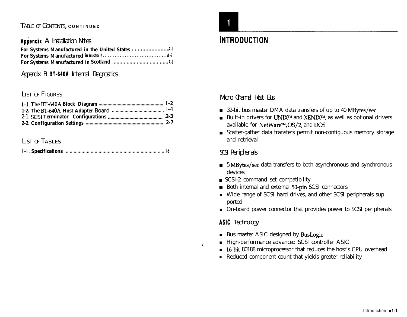### T ABLE OF C ONTENTS, **CONTINUED**

#### Appendix A: Installation Notes

#### Appendix B: **BT-640A** Internal Diagnostics

#### LIST OF FIGURES

#### LIST OF TABLES

|--|--|



# **INTRODUCTION**

Micro Channel Host Bus

- 32-bit bus master DMA data transfers of up to 40 MBytes/sec
- Built-in drivers for UNIX<sup>TM</sup> and XENIX<sup>TM</sup>, as well as optional drivers available for NetWare™, OS/2, and DOS
- Scatter-gather data transfers permit non-contiguous memory storage and retrieval

#### SCSI Peripherals

- 5 MBytes/sec data transfers to both asynchronous and synchronous devices
- $\blacksquare$  SCSI-2 command set compatibility
- Both internal and external 50-pin SCSI connectors
- <sup>n</sup> Wide range of SCSI hard drives, and other SCSI peripherals sup ported
- <sup>n</sup> On-board power connector that provides power to SCSI peripherals

## ASIC Technology

 $\mathbf{I}$ 

- **Bus master ASIC designed by BusLogic**
- <sup>n</sup> High-performance advanced SCSI controller ASIC
- **n** 16-bit 80188 microprocessor that reduces the host's CPU overhead
- <sup>n</sup> Reduced component count that yields greater reliability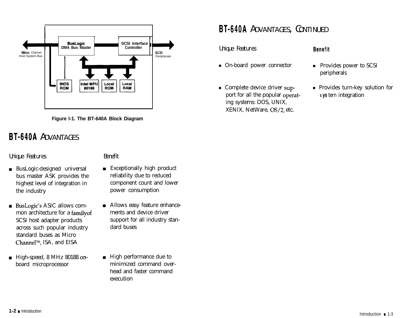



# BT-640A ADVANTAGES

#### Unique Features Benefit

- BusLogic-designed universal bus master ASK provides the highest level of integration in the industry
- BusLogic's ASIC allows common architecture for a familyof SCSI host adapter products across such popular industry standard buses as Micro Channel<sup>™</sup>, ISA, and EISA
- $\blacksquare$  High-speed, 8 MHz 80188 onboard microprocessor

- **Exceptionally high product** reliability due to reduced component count and lower power consumption
- **Allows easy feature enhance**ments and device driver support for all industry standard buses
- **High performance due to** minimized command overhead and faster command execution

# BT-640A ADVANTAGES, CONTINUED

Unique Features

- n On-board power connector n Provides power to SCSI
- Complete device driver support for all the popular operating systems: DOS, UNIX, XENIX, NetWare, OS/2, etc.

#### **Benefit**

- peripherals
- Provides turn-key solution for **s ys** tern integration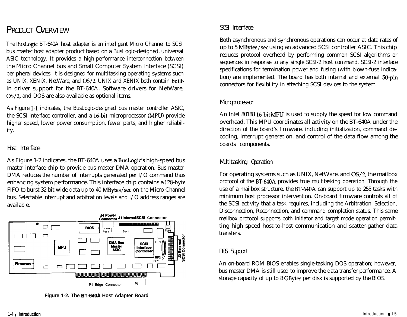# PRODUCT OVERVIEW SCSI Interface

The BusLogic BT-640A host adapter is an intelligent Micro Channel to SCSI bus master host adapter product based on a BusLogic-designed, universal ASIC technology. It provides a high-performance interconnection between the Micro Channel bus and Small Computer System Interface (SCSI) peripheral devices. It is designed for multitasking operating systems such as UNIX, XENIX, NetWare, and OS/2. UNIX and XENIX both contain builtin driver support for the BT-640A. Software drivers for NetWare, OS/2, and DOS are also available as optional items.

As Figure l-1 indicates, the BusLogic-designed bus master controller ASIC, the SCSI interface controller, and a 16-bit microprocessor (MPU) provide higher speed, lower power consumption, fewer parts, and higher reliability.

#### Host Interface

As Figure 1-2 indicates, the BT-640A uses a BusLogic's high-speed bus master interface chip to provide bus master DMA operation. Bus master DMA reduces the number of interrupts generated per I/O command thus enhancing system performance. This interface chip contains a 128-byte FIFO to burst 32-bit wide data up to 40 MBytes/set on the Micro Channel bus. Selectable interrupt and arbitration levels and I/O address ranges are available.



**Figure 1-2. The BT-640A Host Adapter Board**

Both asynchronous and synchronous operations can occur at data rates of up to 5 MBytes/set using an advanced SCSI controller ASIC. This chip reduces protocol overhead by performing common SCSI algorithms or sequences in response to any single SCSI-2 host command. SCSI-2 interface specifications for termination power and fusing (with blown-fuse indication) are implemented. The board has both internal and external 50-pin connectors for flexibility in attaching SCSI devices to the system.

#### Microprocessor

An Intel 80188 16-bit MPU is used to supply the speed for low command overhead. This MPU coordinates all activity on the BT-640A under the direction of the board's firmware, including initialization, command decoding, interrupt generation, and control of the data flow among the boards components.

#### Multitasking Operation

For operating systems such as UNIX, NetWare, and OS/2, the mailbox protocol of the BT-64OA provides true multitasking operation. Through the use of a mailbox structure, the BT-640A can support up to 255 tasks with minimum host processor intervention. On-board firmware controls all of the SCSI activity that a task requires, including the Arbitration, Selection, Disconnection, Reconnection, and command completion status. This same mailbox protocol supports both initiator and target mode operation permitting high speed host-to-host communication and scatter-gather data transfers.

#### DOS Support

An on-board ROM BIOS enables single-tasking DOS operation; however, bus master DMA is still used to improve the data transfer performance. A storage capacity of up to 8 GBytes per disk is supported by the BIOS.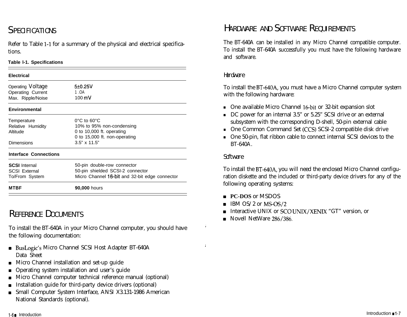Refer to Table l-1 for a summary of the physical and electrical specifications.

#### **Table l-1. Specifications**

| <b>Electrical</b>                                              |                                                                                                                             | Hardware                                              |
|----------------------------------------------------------------|-----------------------------------------------------------------------------------------------------------------------------|-------------------------------------------------------|
| Operating Voltage<br><b>Operating Current</b>                  | 5±0.25V<br>1.OA                                                                                                             | To instal<br>with the                                 |
| Max. Ripple/Noise                                              | $100 \,\mathrm{mV}$                                                                                                         |                                                       |
| <b>Environmental</b>                                           |                                                                                                                             | One a<br>$\blacksquare$                               |
| Temperature<br>Relative Humidity<br>Altitude                   | $0^{\circ}$ C to 60 $^{\circ}$ C<br>10% to 95% non-condensing<br>0 to 10,000 ft. operating<br>0 to 15,000 ft. non-operating | $DC$ $p$<br>subsy<br>One 0<br>$\blacksquare$<br>One 5 |
| <b>Dimensions</b>                                              | $3.5" \times 11.5"$                                                                                                         | $BT-64$                                               |
| <b>Interface Connections</b>                                   |                                                                                                                             | Software                                              |
| <b>SCSI</b> Internal<br><b>SCSI External</b><br>To/From System | 50-pin double-row connector<br>50-pin shielded SCSI-2 connector<br>Micro Channel 16-bit and 32-bit edge connector           | To instal<br>ration di                                |
| <b>MTBF</b>                                                    | 90,000 hours                                                                                                                | following                                             |

# R EFERENCE DOCUMENTS

To install the BT-640A in your Micro Channel computer, you should have the following documentation:

- BusLogic's Micro Channel SCSI Host Adapter BT-640A Data Sheet
- Micro Channel installation and set-up guide  $\blacksquare$
- Operating system installation and user's guide  $\blacksquare$
- Micro Channel computer technical reference manual (optional)
- Installation guide for third-party device drivers (optional)
- Small Computer System Interface, ANSI X3.131-1986 American National Standards (optional).

# SPECIFICATIONS SERVICES SERVICES AND SOFTWARE REQUIREMENTS

The BT-640A can be installed in any Micro Channel compatible computer. To install the BT-640A successfully you must have the following hardware and software.

To install the BT-640A, you must have a Micro Channel computer system with the following hardware:

- <sup>n</sup> One available Micro Channel 16-bit or 32-bit expansion slot
- <sup>n</sup> DC power for an internal 3.5" or 5.25" SCSI drive or an external subsystem with the corresponding D-shell, 50-pin external cable
- <sup>n</sup> One Common Command Set (CCS) SCSI-2 compatible disk drive
- <sup>n</sup> One 50-pin, flat ribbon cable to connect internal SCSI devices to the BT-640A.

#### Software

To install the BT-640A, you will need the enclosed Micro Channel configuration diskette and the included or third-party device drivers for any of the following operating systems:

- **PC-DOS** or MSDOS
- $\blacksquare$  IBM OS/2 or MS-OS/2
- Interactive UNIX or SC0 UNIX/XENIX "GT" version, or
- Novell NetWare 286/386.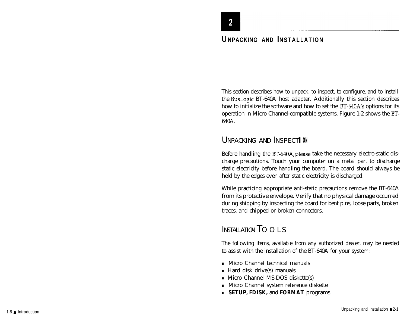# **EXECUTE AND INSTALLATION UNPACKING AND INSTALLATION**

This section describes how to unpack, to inspect, to configure, and to install the BusLogic BT-640A host adapter. Additionally this section describes how to initialize the software and how to set the BT-640A's options for its operation in Micro Channel-compatible systems. Figure 1-2 shows the BT-640A.

## UNPACKING AND INSPECTTION

Before handling the BT-640A, please take the necessary electro-static discharge precautions. Touch your computer on a metal part to discharge static electricity before handling the board. The board should always be held by the edges even after static electricity is discharged.

While practicing appropriate anti-static precautions remove the BT-640A from its protective envelope. Verify that no physical damage occurred during shipping by inspecting the board for bent pins, loose parts, broken traces, and chipped or broken connectors.

# INSTALLATION TOOLS

The following items, available from any authorized dealer, may be needed to assist with the installation of the BT-640A for your system:

- <sup>n</sup> Micro Channel technical manuals
- $\blacksquare$  Hard disk drive(s) manuals
- $\blacksquare$  Micro Channel MS-DOS diskette(s)
- <sup>n</sup> Micro Channel system reference diskette
- <sup>n</sup> **SETUP, FDISK,** and **FORMAT** programs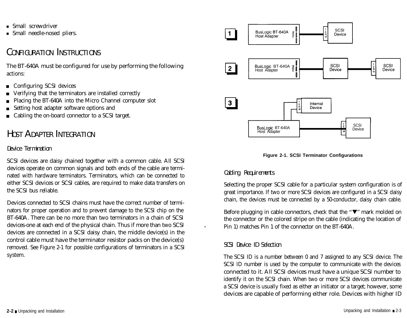- $\blacksquare$  Small screwdriver
- Small needle-nosed pliers.

## CONFIGURATION INSTRUCTIONS

The BT-640A must be configured for use by performing the following actions:

- Configuring SCSI devices
- Verifying that the terminators are installed correctly
- Placing the BT-640A into the Micro Channel computer slot
- Setting host adapter software options and
- Cabling the on-board connector to a SCSI target.

# H OST A DAPTER INTEGRATION

#### Device Termination

SCSI devices are daisy chained together with a common cable. All SCSI devices operate on common signals and both ends of the cable are terminated with hardware terminators. Terminators, which can be connected to either SCSI devices or SCSI cables, are required to make data transfers on the SCSI bus reliable.

Devices connected to SCSI chains must have the correct number of terminators for proper operation and to prevent damage to the SCSI chip on the BT-640A. There can be no more than two terminators in a chain of SCSI devices-one at each end of the physical chain. Thus if more than two SCSI devices are connected in a SCSI daisy chain, the middle device(s) in the control cable must have the terminator resistor packs on the device(s) removed. See Figure 2-1 for possible configurations of terminators in a SCSI system.





#### Cabling Requirements

Selecting the proper SCSI cable for a particular system configuration is of great importance. If two or more SCSI devices are configured in a SCSI daisy chain, the devices must be connected by a 50-conductor, daisy chain cable.

Before plugging in cable connectors, check that the  $\sqrt[n]{\mathbf{v}^n}$  mark molded on the connector or the colored stripe on the cable (indicating the location of Pin 1) matches Pin 1 of the connector on the BT-640A.

#### SCSI Device ID Selection

 $\mathbf{r}$ 

The SCSI ID is a number between 0 and 7 assigned to any SCSI device. The SCSI ID number is used by the computer to communicate with the devices connected to it. All SCSI devices must have a unique SCSI number to identify it on the SCSI chain. When two or more SCSI devices communicate a SCSI device is usually fixed as either an initiator or a target; however, some devices are capable of performing either role. Devices with higher ID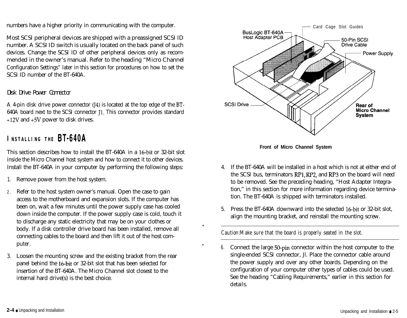numbers have a higher priority in communicating with the computer.

Most SCSI peripheral devices are shipped with a preassigned SCSI ID number. A SCSI ID switch is usually located on the back panel of such devices. Change the SCSI ID of other peripheral devices only as recommended in the owner's manual. Refer to the heading "Micro Channel Configuration Settings" later in this section for procedures on how to set the SCSI ID number of the BT-640A.

#### Disk Drive Power Connector

A 4-pin disk drive power connector (J4) is located at the top edge of the BT-640A board next to the SCSI connector Jl. This connector provides standard +12V and +5V power to disk drives.

# **INSTALLING THE** BT=640A

This section describes how to install the BT-640A in a 16-bit or 32-bit slot inside the Micro Channel host system and how to connect it to other devices. Install the BT-640A in your computer by performing the following steps:

- 1. Remove power from the host system.
- 2 . Refer to the host system owner's manual. Open the case to gain access to the motherboard and expansion slots. If the computer has been on, wait a few minutes until the power supply case has cooled down inside the computer. If the power supply case is cold, touch it to discharge any static electricity that may be on your clothes or body. If a disk controller drive board has been installed, remove all connecting cables to the board and then lift it out of the host computer.
- 3. Loosen the mounting screw and the existing bracket from the rear panel behind the 16-bit or 32-bit slot that has been selected for insertion of the BT-640A. The Micro Channel slot closest to the internal hard drive(s) is the best choice.





- 4. If the BT-640A will be installed in a host which is not at either end of the SCSI bus, terminators RP1, RP2, and RP3 on the board will need to be removed. See the preceding heading, "Host Adapter Integration," in this section for more information regarding device termination. The BT-640A is shipped with terminators installed.
- 5. Press the BT-640A downward into the selected 16-bit or 32-bit slot, align the mounting bracket, and reinstall the mounting screw.

*Caution:Make sure that the board is properly seated in the slot.*

.

.

*6.* Connect the large 50-pin connector within the host computer to the single-ended SCSI connector, Jl. Place the connector cable around the power supply and over any other boards. Depending on the configuration of your computer other types of cables could be used. See the heading "Cabling Requirements," earlier in this section for details.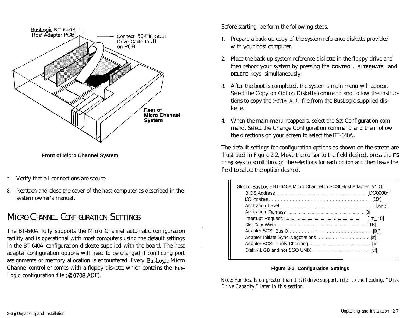

**Front of Micro Channel System**

- 7. Verify that all connections are secure.
- 8. Reattach and close the cover of the host computer as described in the system owner's manual.

# MICRO CHANNEL CONFIGURATION SETTINGS

The BT-640A fully supports the Micro Channel automatic configuration facility and is operational with most computers using the default settings in the BT-640A configuration diskette supplied with the board. The host adapter configuration options will need to be changed if conflicting port assignments or memory allocation is encountered. Every BusLogic Micro Channel controller comes with a floppy diskette which contains the Bus-Logic configuration file (@ 0708.ADF).

Before starting, perform the following steps:

,

- 1. Prepare a back-up copy of the system reference diskette provided with your host computer.
- 2. Place the back-up system reference diskette in the floppy drive and then reboot your system by pressing the **CONTROL, ALTERNATE,** and **DELETE** keys simultaneously.
- 3. After the boot is completed, the system's main menu will appear. Select the Copy on Option Diskette command and follow the instructions to copy the @0708.ADF file from the BusLogic-supplied diskette.
- 4. When the main menu reappears, select the Set Configuration command. Select the Change Configuration command and then follow the directions on your screen to select the BT-640A.

The default settings for configuration options as shown on the screen are illustrated in Figure 2-2. Move the cursor to the field desired, press the **F5** or **F6** keys to scroll through the selections for each option and then leave the field to select the option desired.

| Slot 5 - BusLogic BT-640A Micro Channel to SCSI Host Adapter (v1.O) | [330h]<br>[Int 15] |
|---------------------------------------------------------------------|--------------------|
|                                                                     |                    |
|                                                                     |                    |

#### **Figure 2-2. Configuration Settings**

*Note: For details on greater than 1 GB drive support, refer to the heading, "Disk Drive Capacity," later in this section.*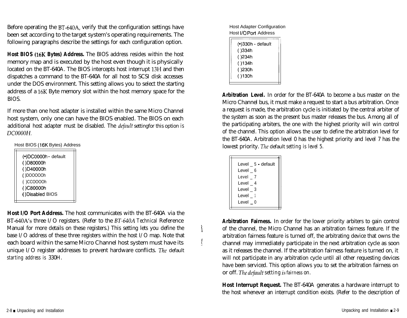Before operating the BT-640A, verify that the configuration settings have been set according to the target system's operating requirements. The following paragraphs describe the settings for each configuration option.

**Host BIOS (16K Bytes) Address.** The BIOS address resides within the host memory map and is executed by the host even though it is physically located on the BT-640A. The BIOS intercepts host interrupt 13H and then dispatches a command to the BT-640A for all host to SCSI disk accesses under the DOS environment. This setting allows you to select the starting address of a 16K Byte memory slot within the host memory space for the BIOS.

If more than one host adapter is installed within the same Micro Channel host system, only one can have the BIOS enabled. The BIOS on each additional host adapter must be disabled. The *defuulf* settingfor this option *is DCOOOON.*

Host BIOS (16K Bytes) Address

| (•)DC0000h default |
|--------------------|
| ()D80000h          |
| ()D40000h          |
| ()DOOOOOh          |
| ()CCOOOOh          |
| ()C80000h          |
| ()Disabled BIOS    |
|                    |

**Host I/O Port Address.** The host communicates with the BT-640A via the BT-640A's three I/O registers. (Refer to the BT-640A *Technical* Reference Manual for more details on these registers.) This setting lets you define the base I/O address of these three registers within the host I/O map. Note that each board within the same Micro Channel host system must have its unique I/O register addresses to prevent hardware conflicts. *The* default *starting address is* 330H.

Host Adapter Configuration Host I/O Port Address

| (•)330h - default |  |
|-------------------|--|
| ( )334h           |  |
| ( )234h           |  |
| ( )134h           |  |
| ( )230h           |  |
| ()130h            |  |
|                   |  |

**Arbitration Level.** In order for the BT-640A to become a bus master on the Micro Channel bus, it must make a request to start a bus arbitration. Once a request is made, the arbitration cycle is initiated by the central arbiter of the system as soon as the present bus master releases the bus. Among all of the participating arbiters, the one with the highest priority will win control of the channel. This option allows the user to define the arbitration level for the BT-640A. Arbitration level 0 has the highest priority and level 7 has the lowest priority. *The* default *setting is level 5.*

| Level 5 default |
|-----------------|
| Level 6         |
| Level 7         |
| Level 4         |
| Level 3         |
| <b>Level</b> 1  |
| Level 0         |
|                 |

**a**

!

**Arbitration Fairness.** In order for the lower priority arbiters to gain control of the channel, the Micro Channel has an arbitration fairness feature. If the arbitration fairness feature is turned off, the arbitrating device that owns the channel may immediately participate in the next arbitration cycle as soon as it releases the channel. If the arbitration fairness feature is turned on, it will not participate in any arbitration cycle until all other requesting devices have been serviced. This option allows you to set the arbitration fairness on or off. *The defudf setting* is *fairness on.*

**Host Interrupt Request.** The BT-640A generates a hardware interrupt to the host whenever an interrupt condition exists. (Refer to the description of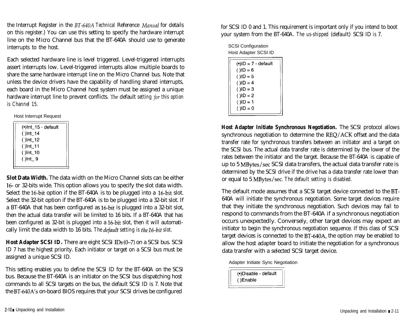the Interrupt Register in the BT-640A Technical Reference *Manual* for details on this register.) You can use this setting to specify the hardware interrupt line on the Micro Channel bus that the BT-640A should use to generate interrupts to the host.

Each selected hardware line is level triggered. Level-triggered interrupts assert interrupts low. Level-triggered interrupts allow multiple boards to share the same hardware interrupt line on the Micro Channel bus. Note that unless the device drivers have the capability of handling shared interrupts, each board in the Micro Channel host system must be assigned a unique hardware interrupt line to prevent conflicts. The default *setting* for *this option is Channel 15.*

Host Interrupt Request

| (.)Int_15 - default |  |
|---------------------|--|
| $()$ Int_14         |  |
| $()$ Int_12         |  |
| ( )Int_11           |  |
| ( )Int_10           |  |
| $()$ Int 9          |  |
|                     |  |

**Slot Data Width.** The data width on the Micro Channel slots can be either 16- or 32-bits wide. This option allows you to specify the slot data width. Select the 16-bit option if the BT-640A is to be plugged into a 16-bit slot. Select the 32-bit option if the BT-640A is to be plugged into a 32-bit slot. If a BT-640A that has been configured as 16-bit is plugged into a 32-bit slot, then the actual data transfer will be limited to 16 bits. If a BT-640A that has been configured as 32-bit is plugged into a 16-bit slot, then it will automatically limit the data width to 16 bits. *The defuulf setting is the 26-bit slot.*

**Host Adapter SCSI ID.** There are eight SCSI ID<sub>S</sub> (0–7) on a SCSI bus. SCSI ID 7 has the highest priority. Each initiator or target on a SCSI bus must be assigned a unique SCSI ID.

This setting enables you to define the SCSI ID for the BT-640A on the SCSI bus. Because the BT-640A is an initiator on the SCSI bus dispatching host commands to all SCSI targets on the bus, the default SCSI ID is 7. Note that the BT-640A's on-board BIOS requires that your SCSI drives be configured

for SCSI ID 0 and 1. This requirement is important only if you intend to boot your system from the BT-640A. *The us-shipped (default)* SCSI ID *is* 7.

| <b>SCSI Configuration</b> |  |
|---------------------------|--|
| Host Adapter SCSI ID      |  |

| $\odot$ iD = 7 - default |  |
|--------------------------|--|
| $(1)$ ID = 6             |  |
| $(1)$ ID = 5             |  |
| $( )$ ID = 4             |  |
| $($ )ID = 3              |  |
| ( )ID = 2                |  |
| ( )ID = 1                |  |
| $( )$ ID = 0             |  |
|                          |  |

**Host Adapter Initiate Synchronous Negotiation.** The SCSI protocol allows synchronous negotiation to determine the REQ/ACK offset and the data transfer rate for synchronous transfers between an initiator and a target on the SCSI bus. The actual data transfer rate is determined by the lower of the rates between the initiator and the target. Because the BT-640A is capable of up to 5 MBytes/set SCSI data transfers, the actual data transfer rate is determined by the SCSI drive if the drive has a data transfer rate lower than or equal to 5 MBytes/set. *The default setting is disabled.*

The default mode assumes that a SCSI target device connected to the BT-640A will initiate the synchronous negotiation. Some target devices require that they initiate the synchronous negotiation. Such devices may fail to respond to commands from the BT-640A if a synchronous negotiation occurs unexpectedly. Conversely, other target devices may expect an initiator to begin the synchronous negotiation sequence. If this class of SCSI target devices is connected to the BT-640A, the option may be enabled to allow the host adapter board to initiate the negotiation for a synchronous data transfer with a selected SCSI target device.

Adapter Initiate Sync Negotiation

(.) Disable - default ()Enable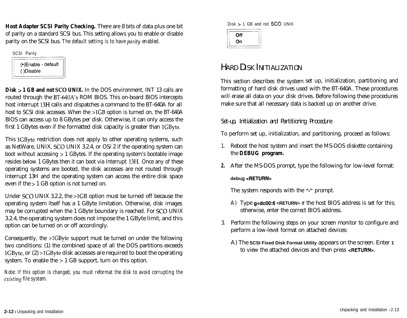**Host Adapter SCSI Parity Checking.** There are 8 bits of data plus one bit of parity on a standard SCSI bus. This setting allows you to enable or disable parity on the SCSI bus. *The default setting is to have parity enabled.*

SCSI Parity (.)Enable - default ()Disable

**Disk > 1 GB and not SC0 UNIX.** In the DOS environment, INT 13 calls are routed through the BT-640A's ROM BIOS. This on-board BIOS intercepts host interrupt 13H calls and dispatches a command to the BT-640A for all host to SCSI disk accesses. When the >1GB option is turned on, the BT-640A BIOS can access up to 8 GBytes per disk. Otherwise, it can only access the first 1 GBytes even if the formatted disk capacity is greater than 1GByte.

This 1GByte restriction does not apply to other operating systems, such as NetWare, UNIX, SC0 UNIX 3.2.4, or OS/2 if the operating system can boot without accessing > 1 GBytes. If the operating system's bootable image resides below 1 GBytes then it can boot via Interrupt 13H. Once any of these operating systems are booted, the disk accesses are not routed through Interrupt 13H and the operating system can access the entire disk space even if the > 1 GB option is not turned on.

Under SCO UNIX 3.2.2, the >1GB option must be turned off because the operating system itself has a 1 GByte limitation. Otherwise, disk images may be corrupted when the 1 GByte boundary is reached. For SC0 UNIX 3.2.4, the operating system does not impose the 1 GByte limit, and this option can be turned on or off accordingly.

Consequently, the >1GByte support must be turned on under the following two conditions: (1) the combined space of all the DOS partitions exceeds lGByte, or (2) >lGByte disk accesses are required to boot the operating system. To enable the > 1 GB support, turn on this option.

*Note: If this option is changed, you must reformat the disk to avoid corrupting the* existing *file system.*

 $Disk > 1$  GB and not **SCO** UNIX



# HARD DISK INITIALIZATION

This section describes the system set up, initialization, partitioning and formatting of hard disk drives used with the BT-640A. These procedures will erase all data on your disk drives. Before following these procedures make sure that all necessary data is backed up on another drive.

Set-up, Initialization and Partitioning Procedure

To perform set up, initialization, and partitioning, proceed as follows:

- 1. Reboot the host system and insert the MS-DOS diskette containing the **DEBUG program.**
- **2.** After the MS-DOS prompt, type the following for low-level format:

#### **debug <RETURN>**

The system responds with the "-" prompt.

- A) Type **g=dc00:6 <RETURN> if** the host BIOS address is set for this; otherwise, enter the correct BIOS address.
- 3. Perform the following steps on your screen monitor to configure and perform a low-level format on attached devices:
	- A) The **SCSI Fixed Disk Format Utility** appears on the screen. Enter **1** to view the attached devices and then press **<RETURN>.**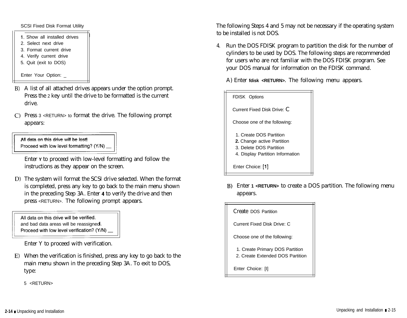#### SCSI Fixed Disk Format Utility

- 1. Show all installed drives
- 2. Select next drive
- 3. Format current drive
- 4. Verify current drive
- 5. Quit (exit to DOS)

Enter Your Option: \_

- B) A list of all attached drives appears under the option prompt. Press the 2 key until the drive to be formatted is the current drive.
- C) Press 3 <RETURN> to format the drive. The following prompt appears:

All data on this drive will be lost! Proceed with low level formatting? (Y/N)

Enter **Y** to proceed with low-level formatting and follow the instructions as they appear on the screen.

D) The system will format the SCSI drive selected. When the format is completed, press any key to go back to the main menu shown in the preceding Step 3A. Enter 4 to verify the drive and then press <RETURN>. The following prompt appears.

All data on this drive will be verified. and bad data areas will be reassigned Proceed with low level verification? (Y/N)

Enter Y to proceed with verification.

E) When the verification is finished, press any key to go back to the main menu shown in the preceding Step 3A. To exit to DOS, type:

5 <RETURN>

The following Steps 4 and 5 may not be necessary if the operating system to be installed is not DOS.

4. Run the DOS FDISK program to partition the disk for the number of cylinders to be used by DOS. The following steps are recommended for users who are not familiar with the DOS FDISK program. See your DOS manual for information on the FDISK command.

A) Enter **fdisk <RETURN>.** The following menu appears.



B) Enter **1 <RETURN>** to create a DOS partition. The following menu appears.

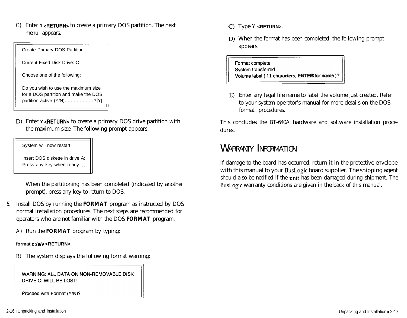C) Enter **1 <RETURN>** to create a primary DOS partition. The next menu appears.

| Create Primary DOS Partition                                                                               |
|------------------------------------------------------------------------------------------------------------|
| Current Fixed Disk Drive: C                                                                                |
| Choose one of the following:                                                                               |
| Do you wish to use the maximum size<br>for a DOS partition and make the DOS<br>partition active (Y/N)? [Y] |

D) Enter **Y <RETURN>** to create a primary DOS drive partition with the maximum size. The following prompt appears.

System will now restart

Insert DOS diskette in drive A: Press any key when ready. . .

When the partitioning has been completed (indicated by another prompt), press any key to return to DOS.

- 5. Install DOS by running the **FORMAT** program as instructed by DOS normal installation procedures. The next steps are recommended for operators who are not familiar with the DOS **FORMAT** program.
	- A) Run the **FORMAT** program by typing:

#### **format c:/s/v <RETURN>**

B) The system displays the following format warning:

WARNING: ALL DATA ON NON-REMOVABLE DISK<br>DRIVE C: WILL BE LOST!<br>Proceed with Format (Y/N)?

- C) Type Y <RETURN>.
- D) When the format has been completed, the following prompt appears.

C) Type Y **<RETURN>.**<br>
D) When the format has been completed, the formpropears.<br>
Format complete<br>
System transferred<br>
Volume label (11 characters, ENTER for name)? Volume label ( 11 characters, ENTER for name )?

**E)** Enter any legal file name to label the volume just created. Refer to your system operator's manual for more details on the DOS format procedures.

This concludes the BT-640A hardware and software installation procedures.

# WARRANTY INFORMATION

If damage to the board has occurred, return it in the protective envelope with this manual to your BusLogic board supplier. The shipping agent should also be notified if the unit has been damaged during shipment. The BusLogic warranty conditions are given in the back of this manual.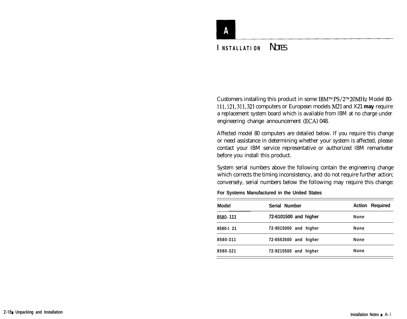# **INSTALLATION** NOTES

Customers installing this product in some IBM™PS/2™20MHz Model 80-111,121,311,321 computers or European models M21 and X21 **may** require a replacement system board which is available from IBM at no charge under engineering change announcement (ECA) 048.

Affected model 80 computers are detailed below. If you require this change or need assistance in determining whether your system is affected, please contact your IBM service representative or authorized IBM remarketer before you install this product.

System serial numbers above the following contain the engineering change which corrects the timing inconsistency, and do not require further action; conversely, serial numbers below the following may require this change:

**For Systems Manufactured in the United States**

| <b>Model</b> | Serial Number         | <b>Action Required</b> |
|--------------|-----------------------|------------------------|
| 8580-111     | 72-6101500 and higher | <b>None</b>            |
| 8580-1 21    | 72-9015000 and higher | <b>None</b>            |
| 8580-311     | 72-6553500 and higher | <b>None</b>            |
| 8580-321     | 72-9215500 and higher | <b>None</b>            |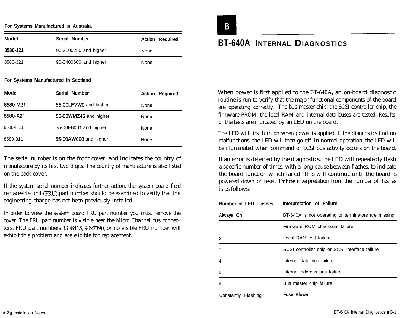#### **For Systems Manufactured in Australia**

| Model    | Serial Number         | <b>Action Required</b> |
|----------|-----------------------|------------------------|
| 8580-121 | 90-3100250 and higher | None                   |
| 8580-321 | 90-3400600 and higher | None                   |

#### **For Systems Manufactured in Scotland**

| <b>Model</b> | Serial Number         | <b>Action Required</b> |
|--------------|-----------------------|------------------------|
| 8580-M21     | 55-00LFVW0 and higher | None                   |
| 8580-X21     | 55-00WMZ45 and higher | None                   |
| 8580-I 11    | 55-00F6001 and higher | None                   |
| 8580-311     | 55-00AW000 and higher | None                   |

The serial number is on the front cover, and indicates the country of manufacture by its first two digits. The country of manufacture is also listed on the back cover.

If the system serial number indicates further action, the system board field replaceable unit (FRU) part number should be examined to verify that the engineering change has not been previously installed.

In order to view the system board FRU part number you must remove the cover. The FRU part number is visible near the Micro Channel bus connectors. FRU part numbers 33F8415,9Ox7390, or no visible FRU number will exhibit this problem and are eligible for replacement.

# **BT-640A INTERNAL DIAGNOSTICS**

When power is first applied to the BT-640A, an on-board diagnostic routine is run to verify that the major functional components of the board are operating correctly. The bus master chip, the SCSI controller chip, the firmware PROM, the local RAM and internal data buses are tested. Results of the tests are indicated by an LED on the board.

The LED will first turn on when power is applied. If the diagnostics find no malfunctions, the LED will then go off. In normal operation, the LED will be illuminated when command or SCSI bus activity occurs on the board.

If an error is detected by the diagnostics, the LED will repeatedly flash a specific number of times, with a long pause between flashes, to indicate the board function which failed. This will continue until the board is powered down or reset. Failure interpretation from the number of flashes is as follows:

| Number of LED Flashes | Interpretation of Failure                           |
|-----------------------|-----------------------------------------------------|
| Always On             | BT-640A is not operating or terminators are missing |
|                       | Firmware ROM checksum failure                       |
| 2                     | Local RAM test failure                              |
| 3                     | SCSI controller chip or SCSI interface failure      |
| 4                     | Internal data bus failure                           |
| 5                     | Internal address bus failure                        |
| 6                     | Bus master chip failure                             |
| Constantly Flashing   | Fuse Blown.                                         |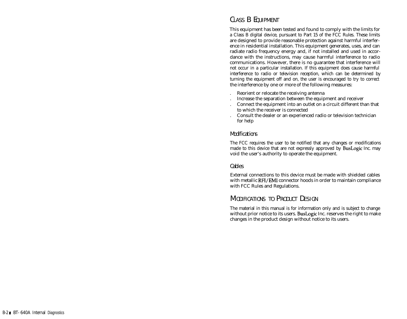#### CLASS B EQUIPMENT

This equipment has been tested and found to comply with the limits for a Class B digital device, pursuant to Part 15 of the FCC Rules. These limits are designed to provide reasonable protection against harmful interference in residential installation. This equipment generates, uses, and can radiate radio frequency energy and, if not installed and used in accordance with the instructions, may cause harmful interference to radio communications. However, there is no guarantee that interference will not occur in a particular installation. If this equipment does cause harmful interference to radio or television reception, which can be determined by turning the equipment off and on, the user is encouraged to try to correct the interference by one or more of the following measures:

- . Reorient or relocate the receiving antenna
- . Increase the separation between the equipment and receiver
- . Connect the equipment into an outlet on a circuit different than that to which the receiver is connected
- . Consult the dealer or an experienced radio or television technician for help

#### Modifications

The FCC requires the user to be notified that any changes or modifications made to this device that are not expressly approved by BusLogic Inc. may void the user's authority to operate the equipment.

#### Cables

External connections to this device must be made with shielded cables with metallic RFI/EMI connector hoods in order to maintain compliance with FCC Rules and Regulations.

#### MODIFICATIONS TO PRODUCT DESIGN

The material in this manual is for information only and is subject to change without prior notice to its users. BusLogic Inc. reserves the right to make changes in the product design without notice to its users.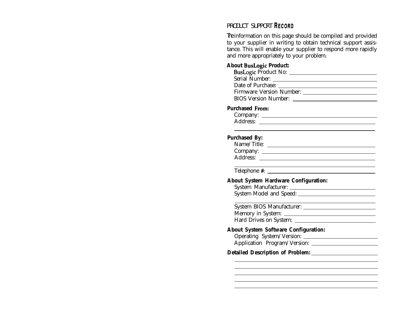#### PRODUCT SUPPORT RECORD

The information on this page should be compiled and provided to your supplier in writing to obtain technical support assistance. This will enable your supplier to respond more rapidly and more appropriately to your problem.

#### **About BusLogic Product:**

#### **Purchased From:**

Company: Address:

#### **Purchased By:**

| Name/Title: |  |
|-------------|--|
| Company:    |  |
| Address:    |  |
|             |  |

Telephone #:

#### **About System Hardware Configuration:**

| System Manufacturer:    |  |
|-------------------------|--|
| System Model and Speed: |  |
|                         |  |

System BIOS Manufacturer: Memory in System: Hard Drives on System:

#### **About System Software Configuration:**

Operating System/Version: Application Program/Version:

#### **Detailed Description of Problem:**